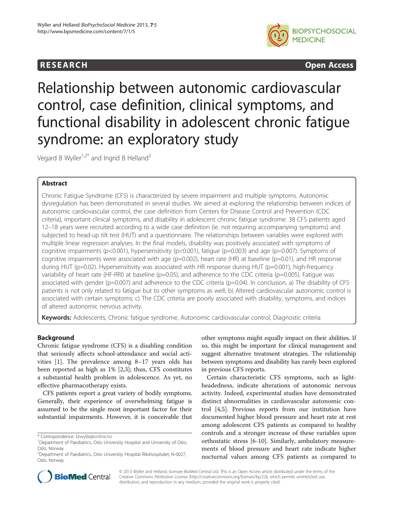# **RESEARCH CHINESEARCH CHINESEARCH CHINESE**



Relationship between autonomic cardiovascular control, case definition, clinical symptoms, and functional disability in adolescent chronic fatigue syndrome: an exploratory study

Vegard B Wyller<sup>1,2\*</sup> and Ingrid B Helland<sup>2</sup>

# Abstract

Chronic Fatigue Syndrome (CFS) is characterized by severe impairment and multiple symptoms. Autonomic dysregulation has been demonstrated in several studies. We aimed at exploring the relationship between indices of autonomic cardiovascular control, the case definition from Centers for Disease Control and Prevention (CDC criteria), important clinical symptoms, and disability in adolescent chronic fatigue syndrome. 38 CFS patients aged 12–18 years were recruited according to a wide case definition (ie. not requiring accompanying symptoms) and subjected to head-up tilt test (HUT) and a questionnaire. The relationships between variables were explored with multiple linear regression analyses. In the final models, disability was positively associated with symptoms of cognitive impairments (p<0.001), hypersensitivity (p<0.001), fatigue (p=0.003) and age (p=0.007). Symptoms of cognitive impairments were associated with age (p=0.002), heart rate (HR) at baseline (p=0.01), and HR response during HUT (p=0.02). Hypersensitivity was associated with HR response during HUT (p=0.001), high-frequency variability of heart rate (HF-RRI) at baseline (p=0.05), and adherence to the CDC criteria (p=0.005). Fatigue was associated with gender (p=0.007) and adherence to the CDC criteria (p=0.04). In conclusion, a) The disability of CFS patients is not only related to fatigue but to other symptoms as well; b) Altered cardiovascular autonomic control is associated with certain symptoms; c) The CDC criteria are poorly associated with disability, symptoms, and indices of altered autonomic nervous activity.

Keywords: Adolescents, Chronic fatique syndrome, Autonomic cardiovascular control, Diagnostic criteria

# Background

Chronic fatigue syndrome (CFS) is a disabling condition that seriously affects school-attendance and social activities [[1\]](#page-7-0). The prevalence among 8–17 years olds has been reported as high as 1% [[2](#page-7-0),[3](#page-7-0)]; thus, CFS constitutes a substantial health problem in adolescence. As yet, no effective pharmacotherapy exists.

CFS patients report a great variety of bodily symptoms. Generally, their experience of overwhelming fatigue is assumed to be the single most important factor for their substantial impairments. However, it is conceivable that

\* Correspondence: [brwylle@online.no](mailto:brwylle@online.no) <sup>1</sup>

other symptoms might equally impact on their abilities. If so, this might be important for clinical management and suggest alternative treatment strategies. The relationship between symptoms and disability has rarely been explored in previous CFS reports.

Certain characteristic CFS symptoms, such as lightheadedness, indicate alterations of autonomic nervous activity. Indeed, experimental studies have demonstrated distinct abnormalities in cardiovascular autonomic control [\[4,5](#page-7-0)]. Previous reports from our institution have documented higher blood pressure and heart rate at rest among adolescent CFS patients as compared to healthy controls and a stronger increase of these variables upon orthostatic stress [[6-10\]](#page-8-0). Similarly, ambulatory measurements of blood pressure and heart rate indicate higher nocturnal values among CFS patients as compared to



© 2013 Wyller and Helland; licensee BioMed Central Ltd. This is an Open Access article distributed under the terms of the Creative Commons Attribution License (<http://creativecommons.org/licenses/by/2.0>), which permits unrestricted use, distribution, and reproduction in any medium, provided the original work is properly cited.

Department of Paediatrics, Oslo University Hospital and University of Oslo, Oslo, Norway

<sup>2</sup> Department of Paediatrics, Oslo University Hospital Rikshospitalet, N-0027, Oslo, Norway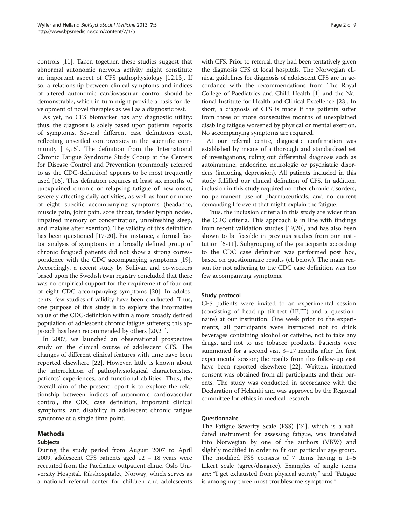controls [[11\]](#page-8-0). Taken together, these studies suggest that abnormal autonomic nervous activity might constitute an important aspect of CFS pathophysiology [\[12,13\]](#page-8-0). If so, a relationship between clinical symptoms and indices of altered autonomic cardiovascular control should be demonstrable, which in turn might provide a basis for development of novel therapies as well as a diagnostic test.

As yet, no CFS biomarker has any diagnostic utility; thus, the diagnosis is solely based upon patients' reports of symptoms. Several different case definitions exist, reflecting unsettled controversies in the scientific community [\[14,15](#page-8-0)]. The definition from the International Chronic Fatigue Syndrome Study Group at the Centers for Disease Control and Prevention (commonly referred to as the CDC-definition) appears to be most frequently used [[16\]](#page-8-0). This definition requires at least six months of unexplained chronic or relapsing fatigue of new onset, severely affecting daily activities, as well as four or more of eight specific accompanying symptoms (headache, muscle pain, joint pain, sore throat, tender lymph nodes, impaired memory or concentration, unrefreshing sleep, and malaise after exertion). The validity of this definition has been questioned [\[17-20](#page-8-0)]. For instance, a formal factor analysis of symptoms in a broadly defined group of chronic fatigued patients did not show a strong correspondence with the CDC accompanying symptoms [\[19](#page-8-0)]. Accordingly, a recent study by Sullivan and co-workers based upon the Swedish twin registry concluded that there was no empirical support for the requirement of four out of eight CDC accompanying symptoms [\[20](#page-8-0)]. In adolescents, few studies of validity have been conducted. Thus, one purpose of this study is to explore the informative value of the CDC-definition within a more broadly defined population of adolescent chronic fatigue sufferers; this approach has been recommended by others [[20,21\]](#page-8-0).

In 2007, we launched an observational prospective study on the clinical course of adolescent CFS. The changes of different clinical features with time have been reported elsewhere [\[22](#page-8-0)]. However, little is known about the interrelation of pathophysiological characteristics, patients' experiences, and functional abilities. Thus, the overall aim of the present report is to explore the relationship between indices of autonomic cardiovascular control, the CDC case definition, important clinical symptoms, and disability in adolescent chronic fatigue syndrome at a single time point.

## Methods

## Subjects

During the study period from August 2007 to April 2009, adolescent CFS patients aged 12 – 18 years were recruited from the Paediatric outpatient clinic, Oslo University Hospital, Rikshospitalet, Norway, which serves as a national referral center for children and adolescents

with CFS. Prior to referral, they had been tentatively given the diagnosis CFS at local hospitals. The Norwegian clinical guidelines for diagnosis of adolescent CFS are in accordance with the recommendations from The Royal College of Paediatrics and Child Health [\[1\]](#page-7-0) and the National Institute for Health and Clinical Excellence [\[23\]](#page-8-0). In short, a diagnosis of CFS is made if the patients suffer from three or more consecutive months of unexplained disabling fatigue worsened by physical or mental exertion. No accompanying symptoms are required.

At our referral centre, diagnostic confirmation was established by means of a thorough and standardized set of investigations, ruling out differential diagnosis such as autoimmune, endocrine, neurologic or psychiatric disorders (including depression). All patients included in this study fulfilled our clinical definition of CFS. In addition, inclusion in this study required no other chronic disorders, no permanent use of pharmaceuticals, and no current demanding life event that might explain the fatigue.

Thus, the inclusion criteria in this study are wider than the CDC criteria. This approach is in line with findings from recent validation studies [[19](#page-8-0),[20](#page-8-0)], and has also been shown to be feasible in previous studies from our institution [\[6](#page-8-0)-[11\]](#page-8-0). Subgrouping of the participants according to the CDC case definition was performed post hoc, based on questionnaire results (cf. below). The main reason for not adhering to the CDC case definition was too few accompanying symptoms.

## Study protocol

CFS patients were invited to an experimental session (consisting of head-up tilt-test (HUT) and a questionnaire) at our institution. One week prior to the experiments, all participants were instructed not to drink beverages containing alcohol or caffeine, not to take any drugs, and not to use tobacco products. Patients were summoned for a second visit 3–17 months after the first experimental session; the results from this follow-up visit have been reported elsewhere [[22](#page-8-0)]. Written, informed consent was obtained from all participants and their parents. The study was conducted in accordance with the Declaration of Helsinki and was approved by the Regional committee for ethics in medical research.

## Questionnaire

The Fatigue Severity Scale (FSS) [[24\]](#page-8-0), which is a validated instrument for assessing fatigue, was translated into Norwegian by one of the authors (VBW) and slightly modified in order to fit our particular age group. The modified FSS consists of 7 items having a 1–5 Likert scale (agree/disagree). Examples of single items are: "I get exhausted from physical activity" and "Fatigue is among my three most troublesome symptoms."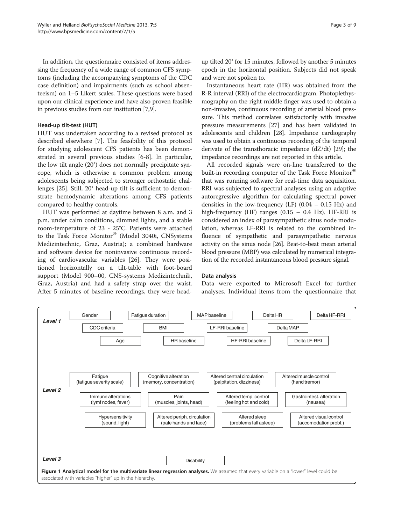<span id="page-2-0"></span>In addition, the questionnaire consisted of items addressing the frequency of a wide range of common CFS symptoms (including the accompanying symptoms of the CDC case definition) and impairments (such as school absenteeism) on 1–5 Likert scales. These questions were based upon our clinical experience and have also proven feasible in previous studies from our institution [[7,9](#page-8-0)].

### Head-up tilt-test (HUT)

HUT was undertaken according to a revised protocol as described elsewhere [[7\]](#page-8-0). The feasibility of this protocol for studying adolescent CFS patients has been demonstrated in several previous studies [\[6-8](#page-8-0)]. In particular, the low tilt angle (20°) does not normally precipitate syncope, which is otherwise a common problem among adolescents being subjected to stronger orthostatic challenges [[25](#page-8-0)]. Still, 20° head-up tilt is sufficient to demonstrate hemodynamic alterations among CFS patients compared to healthy controls.

HUT was performed at daytime between 8 a.m. and 3 p.m. under calm conditions, dimmed lights, and a stable room-temperature of 23 - 25°C. Patients were attached to the Task Force Monitor® (Model 3040i, CNSystems Medizintechnic, Graz, Austria); a combined hardware and software device for noninvasive continuous recording of cardiovascular variables [[26\]](#page-8-0). They were positioned horizontally on a tilt-table with foot-board support (Model 900–00, CNS-systems Medizintechnik, Graz, Austria) and had a safety strap over the waist. After 5 minutes of baseline recordings, they were head-

up tilted 20° for 15 minutes, followed by another 5 minutes epoch in the horizontal position. Subjects did not speak and were not spoken to.

Instantaneous heart rate (HR) was obtained from the R-R interval (RRI) of the electrocardiogram. Photoplethysmography on the right middle finger was used to obtain a non-invasive, continuous recording of arterial blood pressure. This method correlates satisfactorily with invasive pressure measurements [[27](#page-8-0)] and has been validated in adolescents and children [\[28\]](#page-8-0). Impedance cardiography was used to obtain a continuous recording of the temporal derivate of the transthoracic impedance (dZ/dt) [\[29\]](#page-8-0); the impedance recordings are not reported in this article.

All recorded signals were on-line transferred to the built-in recording computer of the Task Force Monitor<sup>®</sup> that was running software for real-time data acquisition. RRI was subjected to spectral analyses using an adaptive autoregressive algorithm for calculating spectral power densities in the low-frequency (LF)  $(0.04 - 0.15 \text{ Hz})$  and high-frequency (HF) ranges (0.15 – 0.4 Hz). HF-RRI is considered an index of parasympathetic sinus node modulation, whereas LF-RRI is related to the combined influence of sympathetic and parasympathetic nervous activity on the sinus node [[26](#page-8-0)]. Beat-to-beat mean arterial blood pressure (MBP) was calculated by numerical integration of the recorded instantaneous blood pressure signal.

#### Data analysis

Data were exported to Microsoft Excel for further analyses. Individual items from the questionnaire that

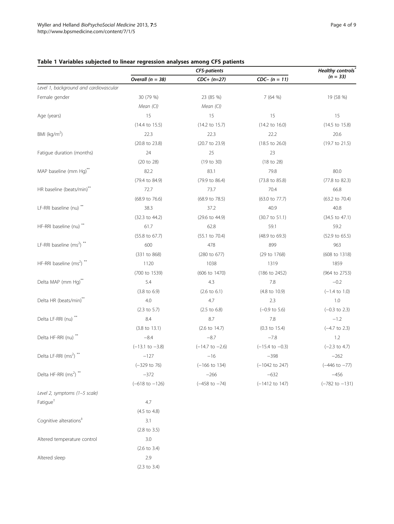Cognitive alterations<sup>‡</sup> 3.1

Altered temperature control 3.0

Altered sleep 2.9

(2.8 to 3.5)

(2.6 to 3.4)

(2.3 to 3.4)

|                                                  | <b>CFS-patients</b>       |                           | Healthy controls           |                           |  |
|--------------------------------------------------|---------------------------|---------------------------|----------------------------|---------------------------|--|
|                                                  | Overall $(n = 38)$        | $CDC+ (n=27)$             | $CDC - (n = 11)$           | $(n = 33)$                |  |
| Level 1, background and cardiovascular           |                           |                           |                            |                           |  |
| Female gender                                    | 30 (79 %)                 | 23 (85 %)                 | 7(64%)                     | 19 (58 %)                 |  |
|                                                  | Mean (Cl)                 | Mean $(Cl)$               |                            |                           |  |
| Age (years)                                      | 15                        | 15                        | 15                         | 15                        |  |
|                                                  | $(14.4 \text{ to } 15.5)$ | $(14.2 \text{ to } 15.7)$ | $(14.2 \text{ to } 16.0)$  | (14.5 to 15.8)            |  |
| BMI ( $\text{kg/m}^2$ )                          | 22.3                      | 22.3                      | 22.2                       | 20.6                      |  |
|                                                  | (20.8 to 23.8)            | (20.7 to 23.9)            | $(18.5 \text{ to } 26.0)$  | (19.7 to 21.5)            |  |
| Fatigue duration (months)                        | 24                        | 25                        | 23                         |                           |  |
|                                                  | (20 to 28)                | (19 to 30)                | (18 to 28)                 |                           |  |
| MAP baseline (mm Hg)**                           | 82.2                      | 83.1                      | 79.8                       | 80.0                      |  |
|                                                  | (79.4 to 84.9)            | (79.9 to 86.4)            | (73.8 to 85.8)             | (77.8 to 82.3)            |  |
| HR baseline (beats/min)**                        | 72.7                      | 73.7                      | 70.4                       | 66.8                      |  |
|                                                  | (68.9 to 76.6)            | (68.9 to 78.5)            | (63.0 to 77.7)             | (63.2 to 70.4)            |  |
| LF-RRI baseline (nu) **                          | 38.3                      | 37.2                      | 40.9                       | 40.8                      |  |
|                                                  | (32.3 to 44.2)            | (29.6 to 44.9)            | $(30.7 \text{ to } 51.1)$  | $(34.5 \text{ to } 47.1)$ |  |
| HF-RRI baseline (nu) <sup>**</sup>               | 61.7                      | 62.8                      | 59.1                       | 59.2                      |  |
|                                                  | (55.8 to 67.7)            | $(55.1 \text{ to } 70.4)$ | (48.9 to 69.3)             | (52.9 to 65.5)            |  |
| LF-RRI baseline (ms <sup>2</sup> ) <sup>**</sup> | 600                       | 478                       | 899                        | 963                       |  |
|                                                  | (331 to 868)              | (280 to 677)              | (29 to 1768)               | (608 to 1318)             |  |
| HF-RRI baseline (ms2) **                         | 1120                      | 1038                      | 1319                       | 1859                      |  |
|                                                  | (700 to 1539)             | (606 to 1470)             | (186 to 2452)              | (964 to 2753)             |  |
| Delta MAP (mm Hg)**                              | 5.4                       | 4.3                       | 7.8                        | $-0.2$                    |  |
|                                                  | $(3.8 \text{ to } 6.9)$   | $(2.6 \text{ to } 6.1)$   | (4.8 to 10.9)              | $(-1.4 \text{ to } 1.0)$  |  |
| Delta HR (beats/min)**                           | 4.0                       | 4.7                       | 2.3                        | 1.0                       |  |
|                                                  | $(2.3 \text{ to } 5.7)$   | $(2.5 \text{ to } 6.8)$   | $(-0.9 \text{ to } 5.6)$   | $(-0.3 \text{ to } 2.3)$  |  |
| Delta LF-RRI (nu) **                             | 8.4                       | 8.7                       | 7.8                        | $-1.2$                    |  |
|                                                  | $(3.8 \text{ to } 13.1)$  | $(2.6 \text{ to } 14.7)$  | $(0.3 \text{ to } 15.4)$   | $(-4.7 \text{ to } 2.3)$  |  |
| Delta HF-RRI (nu) <sup>**</sup>                  | $-8.4$                    | $-8.7$                    | $-7.8$                     | 1.2                       |  |
|                                                  | $(-13.1$ to $-3.8)$       | $(-14.7$ to $-2.6)$       | $(-15.4 \text{ to } -0.3)$ | $(-2.3 \text{ to } 4.7)$  |  |
| Delta LF-RRI (ms2) **                            | $-127$                    | $-16$                     | $-398$                     | $-262$                    |  |
|                                                  | $(-329 \text{ to } 76)$   | $(-166$ to 134)           | $(-1042$ to 247)           | $(-446 \text{ to } -77)$  |  |
| Delta HF-RRI (ms <sup>2</sup> ) <sup>**</sup>    | $-372$                    | $-266$                    | $-632$                     | $-456$                    |  |
|                                                  | $(-618 \text{ to } -126)$ | $(-458$ to $-74)$         | $(-1412$ to 147)           | $(-782 \text{ to } -131)$ |  |
| Level 2, symptoms (1-5 scale)                    |                           |                           |                            |                           |  |
| Fatigue <sup>†</sup>                             | 4.7                       |                           |                            |                           |  |
|                                                  | $(4.5 \text{ to } 4.8)$   |                           |                            |                           |  |

# <span id="page-3-0"></span>Table 1 Variables subjected to linear regression analyses among CFS patients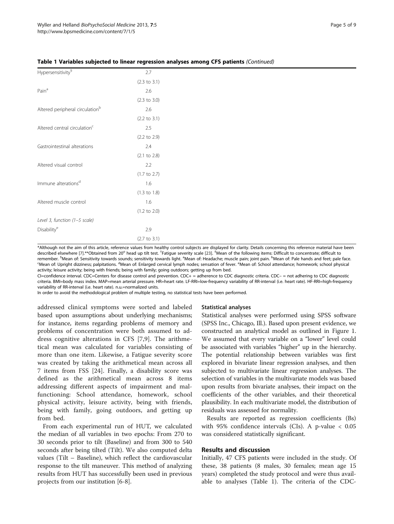| 2.7                     |  |
|-------------------------|--|
| $(2.3 \text{ to } 3.1)$ |  |
| 2.6                     |  |
| $(2.3 \text{ to } 3.0)$ |  |
| 2.6                     |  |
| $(2.2 \text{ to } 3.1)$ |  |
| 2.5                     |  |
| $(2.2 \text{ to } 2.9)$ |  |
| 2.4                     |  |
| $(2.1 \text{ to } 2.8)$ |  |
| 2.2                     |  |
| $(1.7 \text{ to } 2.7)$ |  |
| 1.6                     |  |
| $(1.3 \text{ to } 1.8)$ |  |
| 1.6                     |  |
| $(1.2 \text{ to } 2.0)$ |  |
|                         |  |
| 2.9                     |  |
| $(2.7 \text{ to } 3.1)$ |  |
|                         |  |

Table 1 Variables subjected to linear regression analyses among CFS patients (Continued)

\*Although not the aim of this article, reference values from healthy control subjects are displayed for clarity. Details concerning this reference material have been described elsewhere [\[7\]](#page-8-0).\*\*Obtained from 20° head up tilt test. <sup>†</sup>Fatigue severity scale [[23\]](#page-8-0). <sup>‡</sup>Mean of the following items: Difficult to concentrate; difficult to remember. <sup>§</sup>Mean of: Sensitivity towards sounds; sensitivity towards light. <sup>a</sup>Mean of: Headache; muscle pain; joint pain. <sup>b</sup>Mean of: Pale hands and feet; pale face.<br>SMean of: Unright dizziness: palnitations <sup>d</sup>Mean of: Mean of: Upright dizziness; palpitations. <sup>d</sup>Mean of: Enlarged cervical lymph nodes; sensation of fever. <sup>e</sup>Mean of: School attendance; homework; school physical activity; leisure activity; being with friends; being with family; going outdoors; getting up from bed.

CI=confidence interval. CDC=Centers for disease control and prevention. CDC+ = adherence to CDC diagnostic criteria. CDC– = not adhering to CDC diagnostic criteria. BMI=body mass index. MAP=mean arterial pressure. HR=heart rate. LF-RRI=low-frequency variability of RR-interval (i.e. heart rate). HF-RRI=high-frequency variability of RR-interval (i.e. heart rate). n.u.=normalized units.

In order to avoid the methodological problem of multiple testing, no statistical tests have been performed.

addressed clinical symptoms were sorted and labeled based upon assumptions about underlying mechanisms; for instance, items regarding problems of memory and problems of concentration were both assumed to address cognitive alterations in CFS [[7,9](#page-8-0)]. The arithmetical mean was calculated for variables consisting of more than one item. Likewise, a Fatigue severity score was created by taking the arithmetical mean across all 7 items from FSS [\[24](#page-8-0)]. Finally, a disability score was defined as the arithmetical mean across 8 items addressing different aspects of impairment and malfunctioning: School attendance, homework, school physical activity, leisure activity, being with friends, being with family, going outdoors, and getting up from bed.

From each experimental run of HUT, we calculated the median of all variables in two epochs: From 270 to 30 seconds prior to tilt (Baseline) and from 300 to 540 seconds after being tilted (Tilt). We also computed delta values (Tilt – Baseline), which reflect the cardiovascular response to the tilt maneuver. This method of analyzing results from HUT has successfully been used in previous projects from our institution [\[6](#page-8-0)-[8\]](#page-8-0).

#### Statistical analyses

Statistical analyses were performed using SPSS software (SPSS Inc., Chicago, Ill.). Based upon present evidence, we constructed an analytical model as outlined in Figure [1](#page-2-0). We assumed that every variable on a "lower" level could be associated with variables "higher" up in the hierarchy. The potential relationship between variables was first explored in bivariate linear regression analyses, and then subjected to multivariate linear regression analyses. The selection of variables in the multivariate models was based upon results from bivariate analyses, their impact on the coefficients of the other variables, and their theoretical plausibility. In each multivariate model, the distribution of residuals was assessed for normality.

Results are reported as regression coefficients (Bs) with 95% confidence intervals (CIs). A p-value < 0.05 was considered statistically significant.

#### Results and discussion

Initially, 47 CFS patients were included in the study. Of these, 38 patients (8 males, 30 females; mean age 15 years) completed the study protocol and were thus available to analyses (Table [1](#page-3-0)). The criteria of the CDC-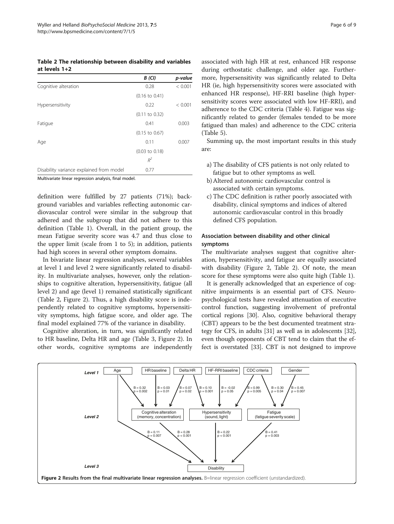<span id="page-5-0"></span>Table 2 The relationship between disability and variables at levels 1+2

|                                                       | <b>B</b> (CI)             | p-value |
|-------------------------------------------------------|---------------------------|---------|
| Cognitive alteration                                  | 0.28                      | < 0.001 |
|                                                       | $(0.16 \text{ to } 0.41)$ |         |
| Hypersensitivity                                      | 0.22                      | < 0.001 |
|                                                       | $(0.11$ to $0.32)$        |         |
| Fatigue                                               | 0.41                      | 0.003   |
|                                                       | $(0.15 \text{ to } 0.67)$ |         |
| Age                                                   | 0.11                      | 0.007   |
|                                                       | $(0.03 \text{ to } 0.18)$ |         |
|                                                       | $R^2$                     |         |
| Disability variance explained from model              | 0.77                      |         |
| Multivariate linear regression analysis, final model. |                           |         |

definition were fulfilled by 27 patients (71%); background variables and variables reflecting autonomic cardiovascular control were similar in the subgroup that adhered and the subgroup that did not adhere to this definition (Table [1\)](#page-3-0). Overall, in the patient group, the mean Fatigue severity score was 4.7 and thus close to the upper limit (scale from 1 to 5); in addition, patients had high scores in several other symptom domains.

In bivariate linear regression analyses, several variables at level 1 and level 2 were significantly related to disability. In multivariate analyses, however, only the relationships to cognitive alteration, hypersensitivity, fatigue (all level 2) and age (level 1) remained statistically significant (Table 2, Figure 2). Thus, a high disability score is independently related to cognitive symptoms, hypersensitivity symptoms, high fatigue score, and older age. The final model explained 77% of the variance in disability.

Cognitive alteration, in turn, was significantly related to HR baseline, Delta HR and age (Table [3,](#page-6-0) Figure 2). In other words, cognitive symptoms are independently

associated with high HR at rest, enhanced HR response during orthostatic challenge, and older age. Furthermore, hypersensitivity was significantly related to Delta HR (ie, high hypersensitivity scores were associated with enhanced HR response), HF-RRI baseline (high hypersensitivity scores were associated with low HF-RRI), and adherence to the CDC criteria (Table [4](#page-6-0)). Fatigue was significantly related to gender (females tended to be more fatigued than males) and adherence to the CDC criteria

Summing up, the most important results in this study are:

- a) The disability of CFS patients is not only related to fatigue but to other symptoms as well.
- b)Altered autonomic cardiovascular control is associated with certain symptoms.

(Table [5\)](#page-6-0).

c) The CDC definition is rather poorly associated with disability, clinical symptoms and indices of altered autonomic cardiovascular control in this broadly defined CFS population.

## Association between disability and other clinical symptoms

The multivariate analyses suggest that cognitive alteration, hypersensitivity, and fatigue are equally associated with disability (Figure 2, Table 2). Of note, the mean score for these symptoms were also quite high (Table [1](#page-3-0)).

It is generally acknowledged that an experience of cognitive impairments is an essential part of CFS. Neuropsychological tests have revealed attenuation of executive control function, suggesting involvement of prefrontal cortical regions [\[30](#page-8-0)]. Also, cognitive behavioral therapy (CBT) appears to be the best documented treatment strategy for CFS, in adults [\[31](#page-8-0)] as well as in adolescents [[32](#page-8-0)], even though opponents of CBT tend to claim that the effect is overstated [[33](#page-8-0)]. CBT is not designed to improve

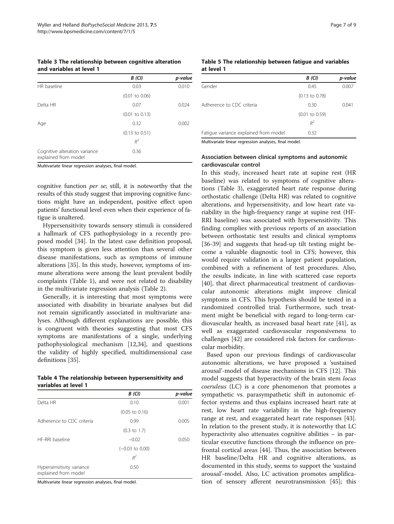#### <span id="page-6-0"></span>Table 3 The relationship between cognitive alteration and variables at level 1

|                                                       | B(CI)                     | p-value |
|-------------------------------------------------------|---------------------------|---------|
| HR baseline                                           | 0.03                      | 0.010   |
|                                                       | $(0.01 \text{ to } 0.06)$ |         |
| Delta HR                                              | 0.07                      | 0.024   |
|                                                       | $(0.01 \text{ to } 0.13)$ |         |
| Age                                                   | 0.32                      | 0.002   |
|                                                       | $(0.13 \text{ to } 0.51)$ |         |
|                                                       | $R^2$                     |         |
| Cognitive alteration variance<br>explained from model | 0.36                      |         |

Multivariate linear regression analyses, final model.

cognitive function per se; still, it is noteworthy that the results of this study suggest that improving cognitive functions might have an independent, positive effect upon patients' functional level even when their experience of fatigue is unaltered.

Hypersensitivity towards sensory stimuli is considered a hallmark of CFS pathophysiology in a recently proposed model [[34](#page-8-0)]. In the latest case definition proposal, this symptom is given less attention than several other disease manifestations, such as symptoms of immune alterations [[35](#page-8-0)]. In this study, however, symptoms of immune alterations were among the least prevalent bodily complaints (Table [1](#page-3-0)), and were not related to disability in the multivariate regression analysis (Table [2](#page-5-0)).

Generally, it is interesting that most symptoms were associated with disability in bivariate analyses but did not remain significantly associated in multivariate analyses. Although different explanations are possible, this is congruent with theories suggesting that most CFS symptoms are manifestations of a single, underlying pathophysiological mechanism [\[12,34\]](#page-8-0), and questions the validity of highly specified, multidimensional case definitions [[35\]](#page-8-0).

|                      |  | Table 4 The relationship between hypersensitivity and |  |
|----------------------|--|-------------------------------------------------------|--|
| variables at level 1 |  |                                                       |  |

|                                                   | <b>B</b> (CI)              | p-value |
|---------------------------------------------------|----------------------------|---------|
| Delta HR                                          | 0.10                       | 0.001   |
|                                                   | $(0.05 \text{ to } 0.16)$  |         |
| Adherence to CDC criteria                         | 0.99                       | 0.005   |
|                                                   | $(0.3 \text{ to } 1.7)$    |         |
| HF-RRI baseline                                   | $-0.02$                    | 0.050   |
|                                                   | $(-0.03 \text{ to } 0.00)$ |         |
|                                                   | $R^2$                      |         |
| Hypersensitivity variance<br>explained from model | 0.50                       |         |

Multivariate linear regression analyses, final model.

#### Table 5 The relationship between fatigue and variables at level 1

| <b>B</b> (CI)             | p-value |
|---------------------------|---------|
| 0.45                      | 0.007   |
| $(0.13 \text{ to } 0.78)$ |         |
| 0.30                      | 0.041   |
| $(0.01 \text{ to } 0.59)$ |         |
| $R^2$                     |         |
| 0.32                      |         |
|                           |         |

Multivariate linear regression analyses, final model.

## Association between clinical symptoms and autonomic cardiovascular control

In this study, increased heart rate at supine rest (HR baseline) was related to symptoms of cognitive alterations (Table 3), exaggerated heart rate response during orthostatic challenge (Delta HR) was related to cognitive alterations, and hypersensitivity, and low heart rate variability in the high-frequency range at supine rest (HF-RRI baseline) was associated with hypersensitivity. This finding complies with previous reports of an association between orthostatic test results and clinical symptoms [[36-39](#page-8-0)] and suggests that head-up tilt testing might become a valuable diagnostic tool in CFS; however, this would require validation in a larger patient population, combined with a refinement of test procedures. Also, the results indicate, in line with scattered case reports [[40\]](#page-8-0), that direct pharmaceutical treatment of cardiovascular autonomic alterations might improve clinical symptoms in CFS. This hypothesis should be tested in a randomized controlled trial. Furthermore, such treatment might be beneficial with regard to long-term cardiovascular health, as increased basal heart rate [\[41](#page-8-0)], as well as exaggerated cardiovascular responsiveness to challenges [\[42\]](#page-8-0) are considered risk factors for cardiovascular morbidity.

Based upon our previous findings of cardiovascular autonomic alterations, we have proposed a 'sustained arousal'-model of disease mechanisms in CFS [[12\]](#page-8-0). This model suggests that hyperactivity of the brain stem locus coeruleus (LC) is a core phenomenon that promotes a sympathetic vs. parasympathetic shift in autonomic effector systems and thus explains increased heart rate at rest, low heart rate variability in the high-frequency range at rest, and exaggerated heart rate responses [\[43](#page-8-0)]. In relation to the present study, it is noteworthy that LC hyperactivity also attenuates cognitive abilities – in particular executive functions through the influence on prefrontal cortical areas [[44\]](#page-8-0). Thus, the association between HR baseline/Delta HR and cognitive alterations, as documented in this study, seems to support the 'sustaind arousal'-model. Also, LC activation promotes amplification of sensory afferent neurotransmission [\[45\]](#page-8-0); this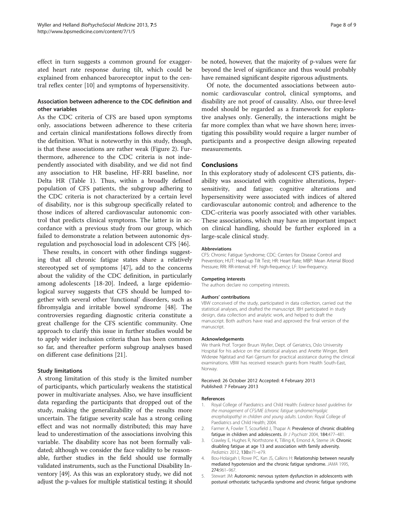<span id="page-7-0"></span>effect in turn suggests a common ground for exaggerated heart rate response during tilt, which could be explained from enhanced baroreceptor input to the central reflex center [[10](#page-8-0)] and symptoms of hypersensitivity.

## Association between adherence to the CDC definition and other variables

As the CDC criteria of CFS are based upon symptoms only, associations between adherence to these criteria and certain clinical manifestations follows directly from the definition. What is noteworthy in this study, though, is that these associations are rather weak (Figure [2\)](#page-5-0). Furthermore, adherence to the CDC criteria is not independently associated with disability, and we did not find any association to HR baseline, HF-RRI baseline, nor Delta HR (Table [1\)](#page-3-0). Thus, within a broadly defined population of CFS patients, the subgroup adhering to the CDC criteria is not characterized by a certain level of disability, nor is this subgroup specifically related to those indices of altered cardiovascular autonomic control that predicts clinical symptoms. The latter is in accordance with a previous study from our group, which failed to demonstrate a relation between autonomic dysregulation and psychosocial load in adolescent CFS [[46\]](#page-8-0).

These results, in concert with other findings suggesting that all chronic fatigue states share a relatively stereotyped set of symptoms [\[47](#page-8-0)], add to the concerns about the validity of the CDC definition, in particularly among adolescents [\[18-20](#page-8-0)]. Indeed, a large epidemiological survey suggests that CFS should be lumped together with several other 'functional' disorders, such as fibromyalgia and irritable bowel syndrome [\[48\]](#page-8-0). The controversies regarding diagnostic criteria constitute a great challenge for the CFS scientific community. One approach to clarify this issue in further studies would be to apply wider inclusion criteria than has been common so far, and thereafter perform subgroup analyses based on different case definitions [[21\]](#page-8-0).

#### Study limitations

A strong limitation of this study is the limited number of participants, which particularly weakens the statistical power in multivariate analyses. Also, we have insufficient data regarding the participants that dropped out of the study, making the generalizability of the results more uncertain. The fatigue severity scale has a strong ceiling effect and was not normally distributed; this may have lead to underestimation of the associations involving this variable. The disability score has not been formally validated; although we consider the face validity to be reasonable, further studies in the field should use formally validated instruments, such as the Functional Disability Inventory [[49](#page-8-0)]. As this was an exploratory study, we did not adjust the p-values for multiple statistical testing; it should be noted, however, that the majority of p-values were far beyond the level of significance and thus would probably have remained significant despite rigorous adjustments.

Of note, the documented associations between autonomic cardiovascular control, clinical symptoms, and disability are not proof of causality. Also, our three-level model should be regarded as a framework for explorative analyses only. Generally, the interactions might be far more complex than what we have shown here; investigating this possibility would require a larger number of participants and a prospective design allowing repeated measurements.

### Conclusions

In this exploratory study of adolescent CFS patients, disability was associated with cognitive alterations, hypersensitivity, and fatigue; cognitive alterations and hypersensitivity were associated with indices of altered cardiovascular autonomic control; and adherence to the CDC-criteria was poorly associated with other variables. These associations, which may have an important impact on clinical handling, should be further explored in a large-scale clinical study.

#### Abbreviations

CFS: Chronic Fatigue Syndrome; CDC: Centers for Disease Control and Prevention; HUT: Head-up Tilt Test; HR: Heart Rate; MBP: Mean Arterial Blood Pressure; RRI: RR-interval; HF: high-frequency; LF: low-frequency.

#### Competing interests

The authors declare no competing interests.

#### Authors' contributions

VBW conceived of the study, participated in data collection, carried out the statistical analyses, and drafted the manuscript. IBH participated in study design, data collection and analytic work, and helped to draft the manuscript. Both authors have read and approved the final version of the manuscript.

#### Acknowledgements

We thank Prof. Torgeir Bruun Wyller, Dept. of Geriatrics, Oslo University Hospital for his advice on the statistical analyses and Anette Winger, Berit Widerøe Njølstad and Kari Gjersum for practical assistance during the clinical examinations. VBW has received research grants from Health South-East, Norway.

#### Received: 26 October 2012 Accepted: 4 February 2013 Published: 7 February 2013

#### References

- 1. Royal College of Paediatrics and Child Health: Evidence based guidelines for the management of CFS/ME (chronic fatigue syndrome/myalgic encephalopathy) in children and young adults. London: Royal College of Paediatrics and Child Health; 2004.
- 2. Farmer A, Fowler T, Scourfield J, Thapar A: Prevalence of chronic disabling fatigue in children and adolescents. Br J Psychiatr 2004, 184:477–481.
- 3. Crawley E, Hughes R, Northstone K, Tilling K, Emond A, Sterne JA: Chronic disabling fatigue at age 13 and association with family adversity. Pediatrics 2012, 130:e71–e79.
- 4. Bou-Holaigah I, Rowe PC, Kan JS, Calkins H: Relationship between neurally mediated hypotension and the chronic fatigue syndrome. JAMA 1995, 274:961–967.
- 5. Stewart JM: Autonomic nervous system dysfunction in adolescents with postural orthostatic tachycardia syndrome and chronic fatigue syndrome